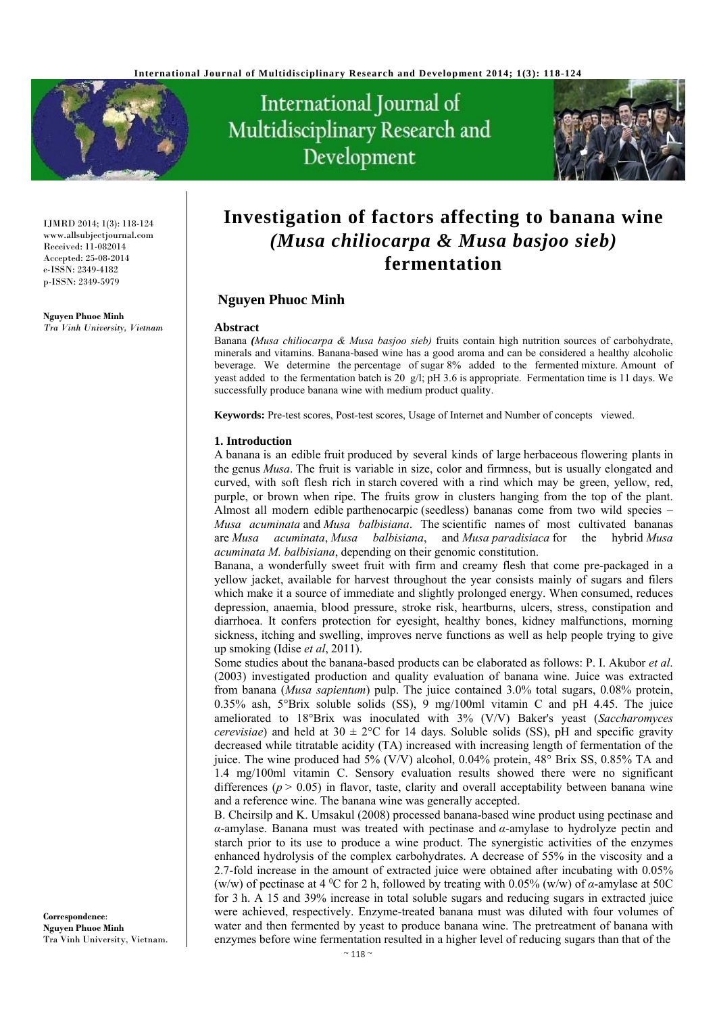



IJMRD 2014; 1(3): 118-124 www.allsubjectjournal.com Received: 11-082014 Accepted: 25-08-2014 e-ISSN: 2349-4182 p-ISSN: 2349-5979

**Nguyen Phuoc Minh** *Tra Vinh University, Vietnam* 

# **Investigation of factors affecting to banana wine** *(Musa chiliocarpa & Musa basjoo sieb)* **fermentation**

## **Nguyen Phuoc Minh**

#### **Abstract**

Banana *(Musa chiliocarpa & Musa basjoo sieb)* fruits contain high nutrition sources of carbohydrate, minerals and vitamins. Banana-based wine has a good aroma and can be considered a healthy alcoholic beverage. We determine the percentage of sugar 8% added to the fermented mixture. Amount of yeast added to the fermentation batch is 20 g/l; pH 3.6 is appropriate. Fermentation time is 11 days. We successfully produce banana wine with medium product quality.

**Keywords:** Pre-test scores, Post-test scores, Usage of Internet and Number of concepts viewed.

#### **1. Introduction**

A banana is an edible fruit produced by several kinds of large herbaceous flowering plants in the genus *Musa*. The fruit is variable in size, color and firmness, but is usually elongated and curved, with soft flesh rich in starch covered with a rind which may be green, yellow, red, purple, or brown when ripe. The fruits grow in clusters hanging from the top of the plant. Almost all modern edible parthenocarpic (seedless) bananas come from two wild species – *Musa acuminata* and *Musa balbisiana*. The scientific names of most cultivated bananas are *Musa acuminata*, *Musa balbisiana*, and *Musa paradisiaca* for the hybrid *Musa acuminata M. balbisiana*, depending on their genomic constitution.

Banana, a wonderfully sweet fruit with firm and creamy flesh that come pre-packaged in a yellow jacket, available for harvest throughout the year consists mainly of sugars and filers which make it a source of immediate and slightly prolonged energy. When consumed, reduces depression, anaemia, blood pressure, stroke risk, heartburns, ulcers, stress, constipation and diarrhoea. It confers protection for eyesight, healthy bones, kidney malfunctions, morning sickness, itching and swelling, improves nerve functions as well as help people trying to give up smoking (Idise *et al*, 2011).

Some studies about the banana-based products can be elaborated as follows: P. I. Akubor *et al*. (2003) investigated production and quality evaluation of banana wine. Juice was extracted from banana (*Musa sapientum*) pulp. The juice contained 3.0% total sugars, 0.08% protein, 0.35% ash, 5°Brix soluble solids (SS), 9 mg/100ml vitamin C and pH 4.45. The juice ameliorated to 18°Brix was inoculated with 3% (V/V) Baker's yeast (*Saccharomyces cerevisiae*) and held at 30  $\pm$  2°C for 14 days. Soluble solids (SS), pH and specific gravity decreased while titratable acidity (TA) increased with increasing length of fermentation of the juice. The wine produced had 5% (V/V) alcohol, 0.04% protein, 48° Brix SS, 0.85% TA and 1.4 mg/100ml vitamin C. Sensory evaluation results showed there were no significant differences ( $p > 0.05$ ) in flavor, taste, clarity and overall acceptability between banana wine and a reference wine. The banana wine was generally accepted.

B. Cheirsilp and K. Umsakul (2008) processed banana-based wine product using pectinase and *α*-amylase. Banana must was treated with pectinase and *α*-amylase to hydrolyze pectin and starch prior to its use to produce a wine product. The synergistic activities of the enzymes enhanced hydrolysis of the complex carbohydrates. A decrease of 55% in the viscosity and a 2.7-fold increase in the amount of extracted juice were obtained after incubating with 0.05% (w/w) of pectinase at 4 <sup>o</sup>C for 2 h, followed by treating with 0.05% (w/w) of  $\alpha$ -amylase at 50C for 3 h. A 15 and 39% increase in total soluble sugars and reducing sugars in extracted juice were achieved, respectively. Enzyme-treated banana must was diluted with four volumes of water and then fermented by yeast to produce banana wine. The pretreatment of banana with enzymes before wine fermentation resulted in a higher level of reducing sugars than that of the

**Correspondence**: **Nguyen Phuoc Minh** Tra Vinh University, Vietnam.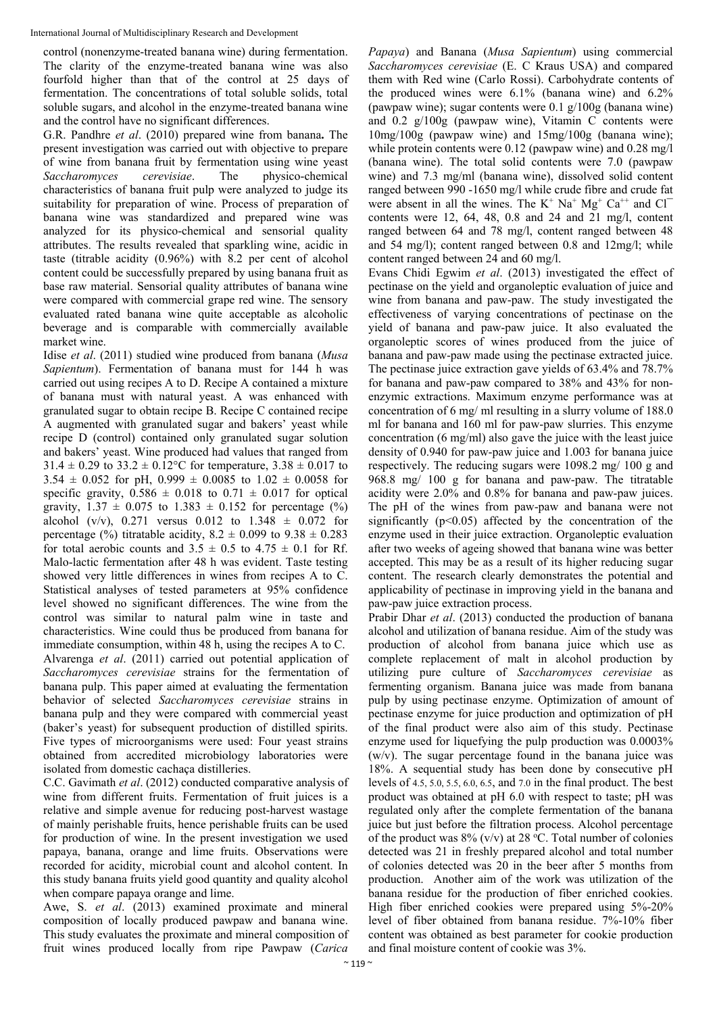control (nonenzyme-treated banana wine) during fermentation. The clarity of the enzyme-treated banana wine was also fourfold higher than that of the control at 25 days of fermentation. The concentrations of total soluble solids, total soluble sugars, and alcohol in the enzyme-treated banana wine and the control have no significant differences.

G.R. Pandhre *et al*. (2010) prepared wine from banana**.** The present investigation was carried out with objective to prepare of wine from banana fruit by fermentation using wine yeast *Saccharomyces cerevisiae*. The physico-chemical characteristics of banana fruit pulp were analyzed to judge its suitability for preparation of wine. Process of preparation of banana wine was standardized and prepared wine was analyzed for its physico-chemical and sensorial quality attributes. The results revealed that sparkling wine, acidic in taste (titrable acidity (0.96%) with 8.2 per cent of alcohol content could be successfully prepared by using banana fruit as base raw material. Sensorial quality attributes of banana wine were compared with commercial grape red wine. The sensory evaluated rated banana wine quite acceptable as alcoholic beverage and is comparable with commercially available market wine.

Idise *et al*. (2011) studied wine produced from banana (*Musa Sapientum*). Fermentation of banana must for 144 h was carried out using recipes A to D. Recipe A contained a mixture of banana must with natural yeast. A was enhanced with granulated sugar to obtain recipe B. Recipe C contained recipe A augmented with granulated sugar and bakers' yeast while recipe D (control) contained only granulated sugar solution and bakers' yeast. Wine produced had values that ranged from  $31.4 \pm 0.29$  to  $33.2 \pm 0.12$ °C for temperature,  $3.38 \pm 0.017$  to  $3.54 \pm 0.052$  for pH,  $0.999 \pm 0.0085$  to  $1.02 \pm 0.0058$  for specific gravity,  $0.586 \pm 0.018$  to  $0.71 \pm 0.017$  for optical gravity,  $1.37 \pm 0.075$  to  $1.383 \pm 0.152$  for percentage (%) alcohol (v/v), 0.271 versus 0.012 to 1.348  $\pm$  0.072 for percentage (%) titratable acidity,  $8.2 \pm 0.099$  to  $9.38 \pm 0.283$ for total aerobic counts and  $3.5 \pm 0.5$  to  $4.75 \pm 0.1$  for Rf. Malo-lactic fermentation after 48 h was evident. Taste testing showed very little differences in wines from recipes A to C. Statistical analyses of tested parameters at 95% confidence level showed no significant differences. The wine from the control was similar to natural palm wine in taste and characteristics. Wine could thus be produced from banana for immediate consumption, within 48 h, using the recipes A to C. Alvarenga *et al*. (2011) carried out potential application of *Saccharomyces cerevisiae* strains for the fermentation of banana pulp. This paper aimed at evaluating the fermentation behavior of selected *Saccharomyces cerevisiae* strains in banana pulp and they were compared with commercial yeast (baker's yeast) for subsequent production of distilled spirits. Five types of microorganisms were used: Four yeast strains obtained from accredited microbiology laboratories were isolated from domestic cachaça distilleries.

C.C. Gavimath *et al*. (2012) conducted comparative analysis of wine from different fruits. Fermentation of fruit juices is a relative and simple avenue for reducing post-harvest wastage of mainly perishable fruits, hence perishable fruits can be used for production of wine. In the present investigation we used papaya, banana, orange and lime fruits. Observations were recorded for acidity, microbial count and alcohol content. In this study banana fruits yield good quantity and quality alcohol when compare papaya orange and lime.

Awe, S. *et al*. (2013) examined proximate and mineral composition of locally produced pawpaw and banana wine. This study evaluates the proximate and mineral composition of fruit wines produced locally from ripe Pawpaw (*Carica* 

*Papaya*) and Banana (*Musa Sapientum*) using commercial *Saccharomyces cerevisiae* (E. C Kraus USA) and compared them with Red wine (Carlo Rossi). Carbohydrate contents of the produced wines were 6.1% (banana wine) and 6.2% (pawpaw wine); sugar contents were 0.1 g/100g (banana wine) and 0.2 g/100g (pawpaw wine), Vitamin C contents were 10mg/100g (pawpaw wine) and 15mg/100g (banana wine); while protein contents were 0.12 (pawpaw wine) and 0.28 mg/l (banana wine). The total solid contents were 7.0 (pawpaw wine) and 7.3 mg/ml (banana wine), dissolved solid content ranged between 990 -1650 mg/l while crude fibre and crude fat were absent in all the wines. The  $K^+$  Na<sup>+</sup> Mg<sup>+</sup> Ca<sup>++</sup> and Cl<sup> $^-$ </sup> contents were 12, 64, 48, 0.8 and 24 and 21 mg/l, content ranged between 64 and 78 mg/l, content ranged between 48 and 54 mg/l); content ranged between 0.8 and 12mg/l; while content ranged between 24 and 60 mg/l.

Evans Chidi Egwim *et al*. (2013) investigated the effect of pectinase on the yield and organoleptic evaluation of juice and wine from banana and paw-paw. The study investigated the effectiveness of varying concentrations of pectinase on the yield of banana and paw-paw juice. It also evaluated the organoleptic scores of wines produced from the juice of banana and paw-paw made using the pectinase extracted juice. The pectinase juice extraction gave yields of 63.4% and 78.7% for banana and paw-paw compared to 38% and 43% for nonenzymic extractions. Maximum enzyme performance was at concentration of 6 mg/ ml resulting in a slurry volume of 188.0 ml for banana and 160 ml for paw-paw slurries. This enzyme concentration (6 mg/ml) also gave the juice with the least juice density of 0.940 for paw-paw juice and 1.003 for banana juice respectively. The reducing sugars were 1098.2 mg/ 100 g and 968.8 mg/ 100 g for banana and paw-paw. The titratable acidity were 2.0% and 0.8% for banana and paw-paw juices. The pH of the wines from paw-paw and banana were not significantly  $(p<0.05)$  affected by the concentration of the enzyme used in their juice extraction. Organoleptic evaluation after two weeks of ageing showed that banana wine was better accepted. This may be as a result of its higher reducing sugar content. The research clearly demonstrates the potential and applicability of pectinase in improving yield in the banana and paw-paw juice extraction process.

Prabir Dhar *et al*. (2013) conducted the production of banana alcohol and utilization of banana residue. Aim of the study was production of alcohol from banana juice which use as complete replacement of malt in alcohol production by utilizing pure culture of *Saccharomyces cerevisiae* as fermenting organism. Banana juice was made from banana pulp by using pectinase enzyme. Optimization of amount of pectinase enzyme for juice production and optimization of pH of the final product were also aim of this study. Pectinase enzyme used for liquefying the pulp production was 0.0003% (w/v). The sugar percentage found in the banana juice was 18%. A sequential study has been done by consecutive pH levels of 4.5, 5.0, 5.5, 6.0, 6.5, and 7.0 in the final product. The best product was obtained at pH 6.0 with respect to taste; pH was regulated only after the complete fermentation of the banana juice but just before the filtration process. Alcohol percentage of the product was  $8\%$  (v/v) at 28 °C. Total number of colonies detected was 21 in freshly prepared alcohol and total number of colonies detected was 20 in the beer after 5 months from production. Another aim of the work was utilization of the banana residue for the production of fiber enriched cookies. High fiber enriched cookies were prepared using 5%-20% level of fiber obtained from banana residue. 7%-10% fiber content was obtained as best parameter for cookie production and final moisture content of cookie was 3%.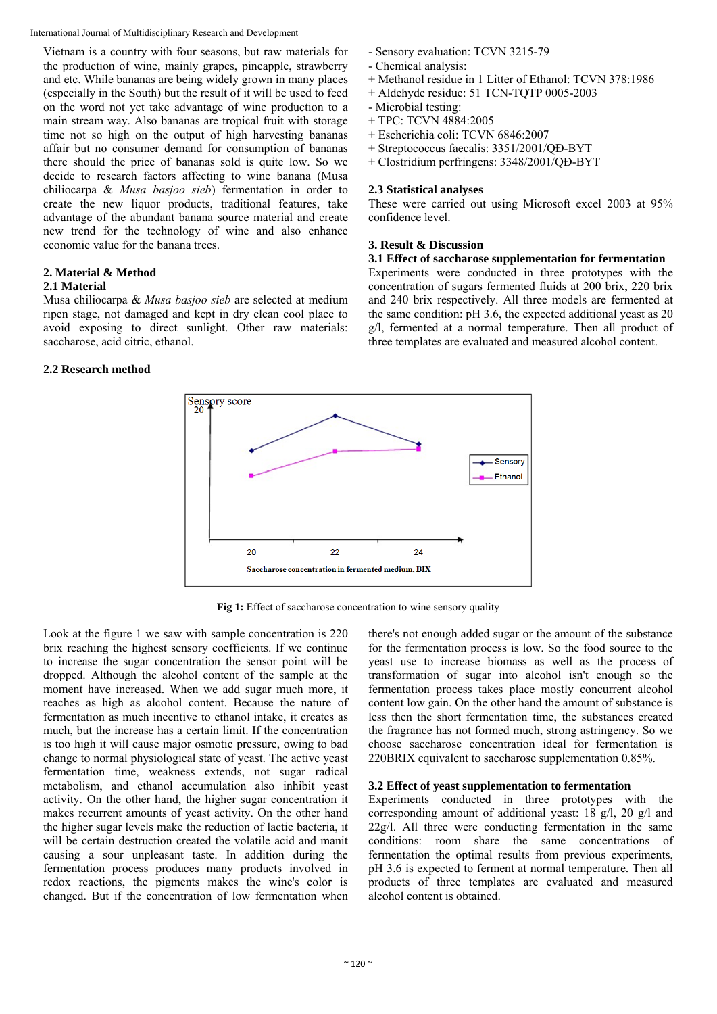Vietnam is a country with four seasons, but raw materials for the production of wine, mainly grapes, pineapple, strawberry and etc. While bananas are being widely grown in many places (especially in the South) but the result of it will be used to feed on the word not yet take advantage of wine production to a main stream way. Also bananas are tropical fruit with storage time not so high on the output of high harvesting bananas affair but no consumer demand for consumption of bananas there should the price of bananas sold is quite low. So we decide to research factors affecting to wine banana (Musa chiliocarpa & *Musa basjoo sieb*) fermentation in order to create the new liquor products, traditional features, take advantage of the abundant banana source material and create new trend for the technology of wine and also enhance economic value for the banana trees.

## **2. Material & Method 2.1 Material**

Musa chiliocarpa & *Musa basjoo sieb* are selected at medium ripen stage, not damaged and kept in dry clean cool place to avoid exposing to direct sunlight. Other raw materials: saccharose, acid citric, ethanol.

## **2.2 Research method**

- Sensory evaluation: TCVN 3215-79
- Chemical analysis:
- + Methanol residue in 1 Litter of Ethanol: TCVN 378:1986
- + Aldehyde residue: 51 TCN-TQTP 0005-2003
- Microbial testing:
- + TPC: TCVN 4884:2005
- + Escherichia coli: TCVN 6846:2007
- + Streptococcus faecalis: 3351/2001/QĐ-BYT
- + Clostridium perfringens: 3348/2001/QĐ-BYT

## **2.3 Statistical analyses**

These were carried out using Microsoft excel 2003 at 95% confidence level.

## **3. Result & Discussion**

## **3.1 Effect of saccharose supplementation for fermentation**

Experiments were conducted in three prototypes with the concentration of sugars fermented fluids at 200 brix, 220 brix and 240 brix respectively. All three models are fermented at the same condition: pH 3.6, the expected additional yeast as 20 g/l, fermented at a normal temperature. Then all product of three templates are evaluated and measured alcohol content.



Fig 1: Effect of saccharose concentration to wine sensory quality

Look at the figure 1 we saw with sample concentration is 220 brix reaching the highest sensory coefficients. If we continue to increase the sugar concentration the sensor point will be dropped. Although the alcohol content of the sample at the moment have increased. When we add sugar much more, it reaches as high as alcohol content. Because the nature of fermentation as much incentive to ethanol intake, it creates as much, but the increase has a certain limit. If the concentration is too high it will cause major osmotic pressure, owing to bad change to normal physiological state of yeast. The active yeast fermentation time, weakness extends, not sugar radical metabolism, and ethanol accumulation also inhibit yeast activity. On the other hand, the higher sugar concentration it makes recurrent amounts of yeast activity. On the other hand the higher sugar levels make the reduction of lactic bacteria, it will be certain destruction created the volatile acid and manit causing a sour unpleasant taste. In addition during the fermentation process produces many products involved in redox reactions, the pigments makes the wine's color is changed. But if the concentration of low fermentation when there's not enough added sugar or the amount of the substance for the fermentation process is low. So the food source to the yeast use to increase biomass as well as the process of transformation of sugar into alcohol isn't enough so the fermentation process takes place mostly concurrent alcohol content low gain. On the other hand the amount of substance is less then the short fermentation time, the substances created the fragrance has not formed much, strong astringency. So we choose saccharose concentration ideal for fermentation is 220BRIX equivalent to saccharose supplementation 0.85%.

#### **3.2 Effect of yeast supplementation to fermentation**

Experiments conducted in three prototypes with the corresponding amount of additional yeast: 18 g/l, 20 g/l and 22g/l. All three were conducting fermentation in the same conditions: room share the same concentrations of fermentation the optimal results from previous experiments, pH 3.6 is expected to ferment at normal temperature. Then all products of three templates are evaluated and measured alcohol content is obtained.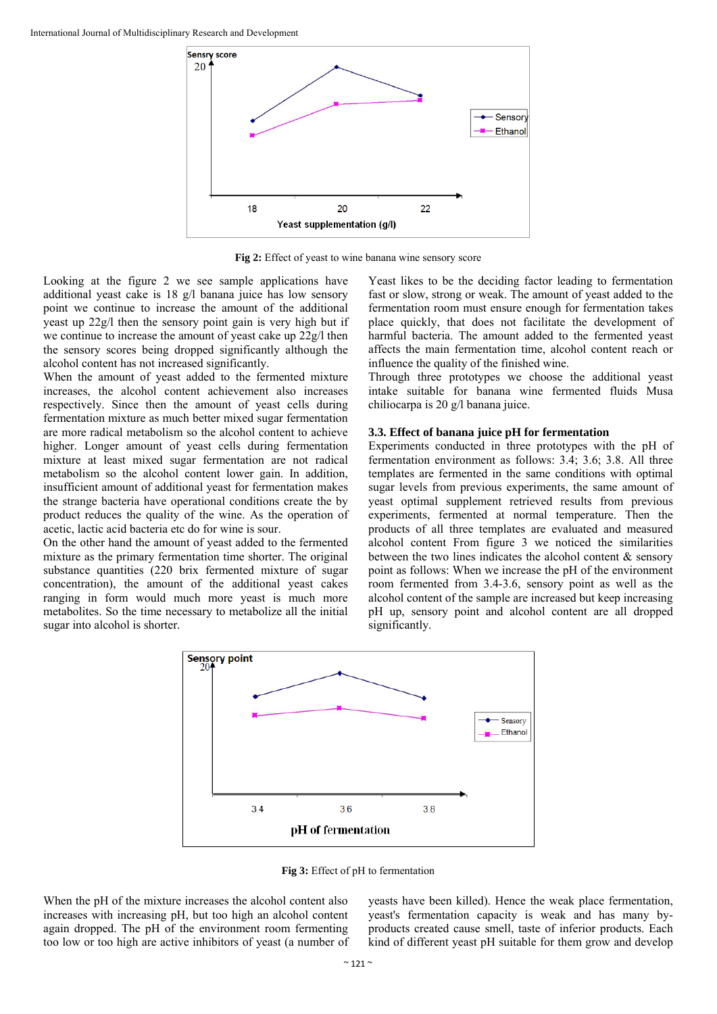

**Fig 2:** Effect of yeast to wine banana wine sensory score

Looking at the figure 2 we see sample applications have additional yeast cake is 18 g/l banana juice has low sensory point we continue to increase the amount of the additional yeast up 22g/l then the sensory point gain is very high but if we continue to increase the amount of yeast cake up 22g/l then the sensory scores being dropped significantly although the alcohol content has not increased significantly.

When the amount of yeast added to the fermented mixture increases, the alcohol content achievement also increases respectively. Since then the amount of yeast cells during fermentation mixture as much better mixed sugar fermentation are more radical metabolism so the alcohol content to achieve higher. Longer amount of yeast cells during fermentation mixture at least mixed sugar fermentation are not radical metabolism so the alcohol content lower gain. In addition, insufficient amount of additional yeast for fermentation makes the strange bacteria have operational conditions create the by product reduces the quality of the wine. As the operation of acetic, lactic acid bacteria etc do for wine is sour.

On the other hand the amount of yeast added to the fermented mixture as the primary fermentation time shorter. The original substance quantities (220 brix fermented mixture of sugar concentration), the amount of the additional yeast cakes ranging in form would much more yeast is much more metabolites. So the time necessary to metabolize all the initial sugar into alcohol is shorter.

Yeast likes to be the deciding factor leading to fermentation fast or slow, strong or weak. The amount of yeast added to the fermentation room must ensure enough for fermentation takes place quickly, that does not facilitate the development of harmful bacteria. The amount added to the fermented yeast affects the main fermentation time, alcohol content reach or influence the quality of the finished wine.

Through three prototypes we choose the additional yeast intake suitable for banana wine fermented fluids Musa chiliocarpa is 20 g/l banana juice.

#### **3.3. Effect of banana juice pH for fermentation**

Experiments conducted in three prototypes with the pH of fermentation environment as follows: 3.4; 3.6; 3.8. All three templates are fermented in the same conditions with optimal sugar levels from previous experiments, the same amount of yeast optimal supplement retrieved results from previous experiments, fermented at normal temperature. Then the products of all three templates are evaluated and measured alcohol content From figure 3 we noticed the similarities between the two lines indicates the alcohol content  $\&$  sensory point as follows: When we increase the pH of the environment room fermented from 3.4-3.6, sensory point as well as the alcohol content of the sample are increased but keep increasing pH up, sensory point and alcohol content are all dropped significantly.



**Fig 3:** Effect of pH to fermentation

When the pH of the mixture increases the alcohol content also increases with increasing pH, but too high an alcohol content again dropped. The pH of the environment room fermenting too low or too high are active inhibitors of yeast (a number of yeasts have been killed). Hence the weak place fermentation, yeast's fermentation capacity is weak and has many byproducts created cause smell, taste of inferior products. Each kind of different yeast pH suitable for them grow and develop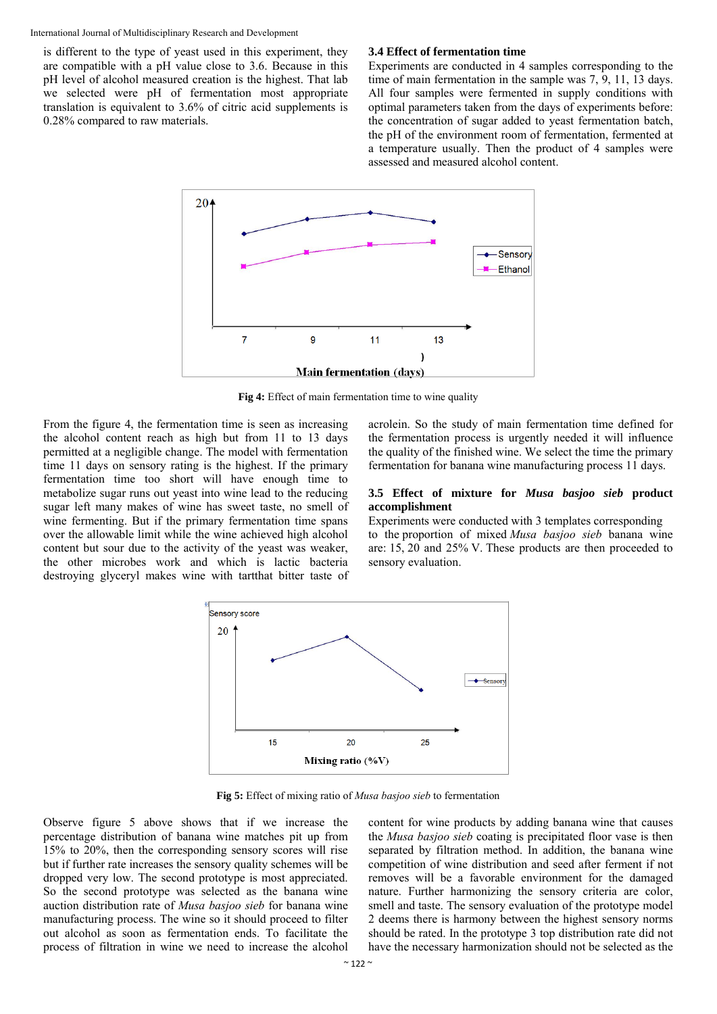is different to the type of yeast used in this experiment, they are compatible with a pH value close to 3.6. Because in this pH level of alcohol measured creation is the highest. That lab we selected were pH of fermentation most appropriate translation is equivalent to 3.6% of citric acid supplements is 0.28% compared to raw materials.

#### **3.4 Effect of fermentation time**

Experiments are conducted in 4 samples corresponding to the time of main fermentation in the sample was 7, 9, 11, 13 days. All four samples were fermented in supply conditions with optimal parameters taken from the days of experiments before: the concentration of sugar added to yeast fermentation batch, the pH of the environment room of fermentation, fermented at a temperature usually. Then the product of 4 samples were assessed and measured alcohol content.



**Fig 4:** Effect of main fermentation time to wine quality

From the figure 4, the fermentation time is seen as increasing the alcohol content reach as high but from 11 to 13 days permitted at a negligible change. The model with fermentation time 11 days on sensory rating is the highest. If the primary fermentation time too short will have enough time to metabolize sugar runs out yeast into wine lead to the reducing sugar left many makes of wine has sweet taste, no smell of wine fermenting. But if the primary fermentation time spans over the allowable limit while the wine achieved high alcohol content but sour due to the activity of the yeast was weaker, the other microbes work and which is lactic bacteria destroying glyceryl makes wine with tartthat bitter taste of acrolein. So the study of main fermentation time defined for the fermentation process is urgently needed it will influence the quality of the finished wine. We select the time the primary fermentation for banana wine manufacturing process 11 days.

## **3.5 Effect of mixture for** *Musa basjoo sieb* **product accomplishment**

Experiments were conducted with 3 templates corresponding to the proportion of mixed *Musa basjoo sieb* banana wine are: 15, 20 and 25% V. These products are then proceeded to sensory evaluation.



**Fig 5:** Effect of mixing ratio of *Musa basjoo sieb* to fermentation

Observe figure 5 above shows that if we increase the percentage distribution of banana wine matches pit up from 15% to 20%, then the corresponding sensory scores will rise but if further rate increases the sensory quality schemes will be dropped very low. The second prototype is most appreciated. So the second prototype was selected as the banana wine auction distribution rate of *Musa basjoo sieb* for banana wine manufacturing process. The wine so it should proceed to filter out alcohol as soon as fermentation ends. To facilitate the process of filtration in wine we need to increase the alcohol content for wine products by adding banana wine that causes the *Musa basjoo sieb* coating is precipitated floor vase is then separated by filtration method. In addition, the banana wine competition of wine distribution and seed after ferment if not removes will be a favorable environment for the damaged nature. Further harmonizing the sensory criteria are color, smell and taste. The sensory evaluation of the prototype model 2 deems there is harmony between the highest sensory norms should be rated. In the prototype 3 top distribution rate did not have the necessary harmonization should not be selected as the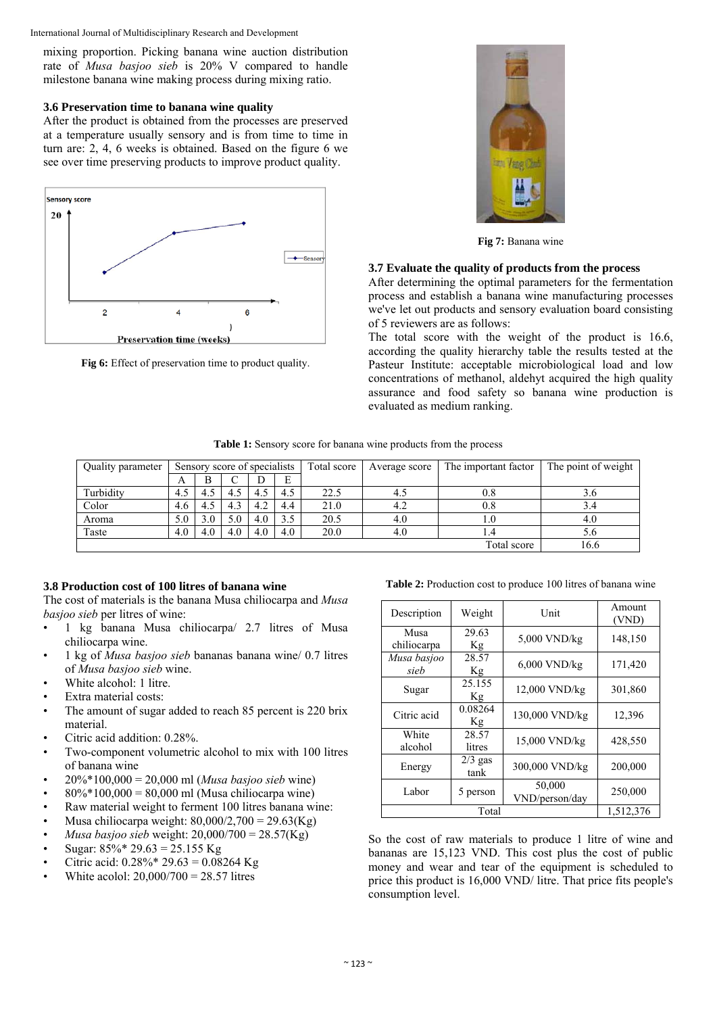mixing proportion. Picking banana wine auction distribution rate of *Musa basjoo sieb* is 20% V compared to handle milestone banana wine making process during mixing ratio.

#### **3.6 Preservation time to banana wine quality**

After the product is obtained from the processes are preserved at a temperature usually sensory and is from time to time in turn are: 2, 4, 6 weeks is obtained. Based on the figure 6 we see over time preserving products to improve product quality.



Fig 6: Effect of preservation time to product quality.



**Fig 7:** Banana wine

### **3.7 Evaluate the quality of products from the process**

After determining the optimal parameters for the fermentation process and establish a banana wine manufacturing processes we've let out products and sensory evaluation board consisting of 5 reviewers are as follows:

The total score with the weight of the product is 16.6, according the quality hierarchy table the results tested at the Pasteur Institute: acceptable microbiological load and low concentrations of methanol, aldehyt acquired the high quality assurance and food safety so banana wine production is evaluated as medium ranking.

| Table 1: Sensory score for banana wine products from the process |  |  |  |
|------------------------------------------------------------------|--|--|--|
|------------------------------------------------------------------|--|--|--|

| Quality parameter | Sensory score of specialists |     |     |     | Total score | Average score | The important factor | The point of weight |      |
|-------------------|------------------------------|-----|-----|-----|-------------|---------------|----------------------|---------------------|------|
|                   | A                            | B   |     | D   | E           |               |                      |                     |      |
| Turbidity         | 4.5                          | 4.5 | 4.5 | 4.5 | 4.5         | 22.5          | 4.2                  | 0.8                 | 5.0  |
| Color             | 4.6                          | 4.5 | 4.3 | 4.2 | 4.4         | 21.0          | 4.2                  | 0.8                 | 3.4  |
| Aroma             | 5.0                          | 3.0 |     | 4.0 | 3.5         | 20.5          | 4.0                  |                     | 4.0  |
| Taste             | 4.0                          | 4.0 | 4.0 | 4.0 | 4.0         | 20.0          | 4.U                  |                     | 5.6  |
|                   |                              |     |     |     |             |               |                      | Total score         | 16.6 |

## **3.8 Production cost of 100 litres of banana wine**

The cost of materials is the banana Musa chiliocarpa and *Musa basjoo sieb* per litres of wine:

- 1 kg banana Musa chiliocarpa/ 2.7 litres of Musa chiliocarpa wine.
- 1 kg of *Musa basjoo sieb* bananas banana wine/ 0.7 litres of *Musa basjoo sieb* wine.
- White alcohol: 1 litre.
- Extra material costs:
- The amount of sugar added to reach 85 percent is 220 brix material.
- Citric acid addition: 0.28%.
- Two-component volumetric alcohol to mix with 100 litres of banana wine
- 20%\*100,000 = 20,000 ml (*Musa basjoo sieb* wine)
- $80\%*100,000 = 80,000$  ml (Musa chiliocarpa wine)
- Raw material weight to ferment 100 litres banana wine:
- Musa chiliocarpa weight:  $80,000/2,700 = 29.63(Kg)$
- *Musa basjoo sieb* weight: 20,000/700 = 28.57(Kg)
- Sugar:  $85\%$  \* 29.63 = 25.155 Kg
- Citric acid:  $0.28\%$  \* 29.63 = 0.08264 Kg
- White acolol:  $20,000/700 = 28.57$  litres

**Table 2:** Production cost to produce 100 litres of banana wine

| Description         | Weight            | Unit                     | Amount<br>(VND) |
|---------------------|-------------------|--------------------------|-----------------|
| Musa<br>chiliocarpa | 29.63<br>Кg       | 5,000 VND/kg             | 148,150         |
| Musa basjoo<br>sieb | 28.57<br>Кg       | $6,000$ VND/ $kg$        | 171,420         |
| Sugar               | 25.155<br>Kg      | 12,000 VND/kg            | 301,860         |
| Citric acid         | 0.08264<br>Кg     | 130,000 VND/kg           | 12,396          |
| White<br>alcohol    | 28.57<br>litres   | 15,000 VND/kg            | 428,550         |
| Energy              | $2/3$ gas<br>tank | 300,000 VND/kg           | 200,000         |
| Labor               | 5 person          | 50,000<br>VND/person/day | 250,000         |
|                     | 1,512,376         |                          |                 |

So the cost of raw materials to produce 1 litre of wine and bananas are 15,123 VND. This cost plus the cost of public money and wear and tear of the equipment is scheduled to price this product is 16,000 VND/ litre. That price fits people's consumption level.